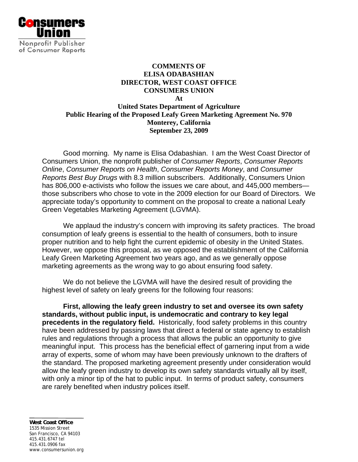

## **COMMENTS OF ELISA ODABASHIAN DIRECTOR, WEST COAST OFFICE CONSUMERS UNION At United States Department of Agriculture Public Hearing of the Proposed Leafy Green Marketing Agreement No. 970 Monterey, California September 23, 2009**

Good morning. My name is Elisa Odabashian. I am the West Coast Director of Consumers Union, the nonprofit publisher of *Consumer Reports*, *Consumer Reports Online*, *Consumer Reports on Health*, *Consumer Reports Money*, and *Consumer Reports Best Buy Drugs* with 8.3 million subscribers. Additionally, Consumers Union has 806,000 e-activists who follow the issues we care about, and 445,000 members those subscribers who chose to vote in the 2009 election for our Board of Directors. We appreciate today's opportunity to comment on the proposal to create a national Leafy Green Vegetables Marketing Agreement (LGVMA).

 We applaud the industry's concern with improving its safety practices. The broad consumption of leafy greens is essential to the health of consumers, both to insure proper nutrition and to help fight the current epidemic of obesity in the United States. However, we oppose this proposal, as we opposed the establishment of the California Leafy Green Marketing Agreement two years ago, and as we generally oppose marketing agreements as the wrong way to go about ensuring food safety.

We do not believe the LGVMA will have the desired result of providing the highest level of safety on leafy greens for the following four reasons:

**First, allowing the leafy green industry to set and oversee its own safety standards, without public input, is undemocratic and contrary to key legal precedents in the regulatory field.** Historically, food safety problems in this country have been addressed by passing laws that direct a federal or state agency to establish rules and regulations through a process that allows the public an opportunity to give meaningful input. This process has the beneficial effect of garnering input from a wide array of experts, some of whom may have been previously unknown to the drafters of the standard. The proposed marketing agreement presently under consideration would allow the leafy green industry to develop its own safety standards virtually all by itself, with only a minor tip of the hat to public input. In terms of product safety, consumers are rarely benefited when industry polices itself.

**West Coast Office**  1535 Mission Street San Francisco, CA 94103 415.431.6747 tel 415.431.0906 fax www.consumersunion.org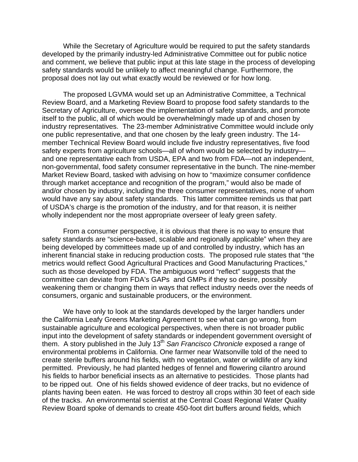While the Secretary of Agriculture would be required to put the safety standards developed by the primarily industry-led Administrative Committee out for public notice and comment, we believe that public input at this late stage in the process of developing safety standards would be unlikely to affect meaningful change. Furthermore, the proposal does not lay out what exactly would be reviewed or for how long.

 The proposed LGVMA would set up an Administrative Committee, a Technical Review Board, and a Marketing Review Board to propose food safety standards to the Secretary of Agriculture, oversee the implementation of safety standards, and promote itself to the public, all of which would be overwhelmingly made up of and chosen by industry representatives. The 23-member Administrative Committee would include only one public representative, and that one chosen by the leafy green industry. The 14 member Technical Review Board would include five industry representatives, five food safety experts from agriculture schools—all of whom would be selected by industry and one representative each from USDA, EPA and two from FDA—not an independent, non-governmental, food safety consumer representative in the bunch. The nine-member Market Review Board, tasked with advising on how to "maximize consumer confidence through market acceptance and recognition of the program," would also be made of and/or chosen by industry, including the three consumer representatives, none of whom would have any say about safety standards. This latter committee reminds us that part of USDA's charge is the promotion of the industry, and for that reason, it is neither wholly independent nor the most appropriate overseer of leafy green safety.

 From a consumer perspective, it is obvious that there is no way to ensure that safety standards are "science-based, scalable and regionally applicable" when they are being developed by committees made up of and controlled by industry, which has an inherent financial stake in reducing production costs. The proposed rule states that "the metrics would reflect Good Agricultural Practices and Good Manufacturing Practices," such as those developed by FDA. The ambiguous word "reflect" suggests that the committee can deviate from FDA's GAPs and GMPs if they so desire, possibly weakening them or changing them in ways that reflect industry needs over the needs of consumers, organic and sustainable producers, or the environment.

We have only to look at the standards developed by the larger handlers under the California Leafy Greens Marketing Agreement to see what can go wrong, from sustainable agriculture and ecological perspectives, when there is not broader public input into the development of safety standards or independent government oversight of them. A story published in the July 13<sup>th</sup> San Francisco Chronicle exposed a range of environmental problems in California. One farmer near Watsonville told of the need to create sterile buffers around his fields, with no vegetation, water or wildlife of any kind permitted. Previously, he had planted hedges of fennel and flowering cilantro around his fields to harbor beneficial insects as an alternative to pesticides. Those plants had to be ripped out. One of his fields showed evidence of deer tracks, but no evidence of plants having been eaten. He was forced to destroy all crops within 30 feet of each side of the tracks. An environmental scientist at the Central Coast Regional Water Quality Review Board spoke of demands to create 450-foot dirt buffers around fields, which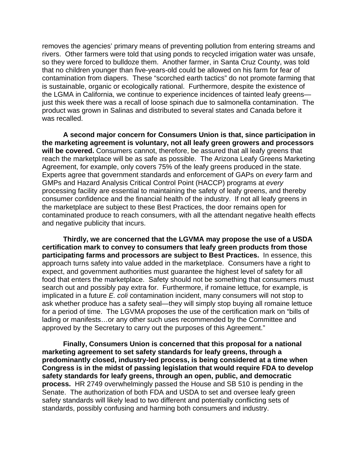removes the agencies' primary means of preventing pollution from entering streams and rivers. Other farmers were told that using ponds to recycled irrigation water was unsafe, so they were forced to bulldoze them. Another farmer, in Santa Cruz County, was told that no children younger than five-years-old could be allowed on his farm for fear of contamination from diapers. These "scorched earth tactics" do not promote farming that is sustainable, organic or ecologically rational. Furthermore, despite the existence of the LGMA in California, we continue to experience incidences of tainted leafy greens just this week there was a recall of loose spinach due to salmonella contamination. The product was grown in Salinas and distributed to several states and Canada before it was recalled.

**A second major concern for Consumers Union is that, since participation in the marketing agreement is voluntary, not all leafy green growers and processors will be covered.** Consumers cannot, therefore, be assured that all leafy greens that reach the marketplace will be as safe as possible. The Arizona Leafy Greens Marketing Agreement, for example, only covers 75% of the leafy greens produced in the state. Experts agree that government standards and enforcement of GAPs on *every* farm and GMPs and Hazard Analysis Critical Control Point (HACCP) programs at *every* processing facility are essential to maintaining the safety of leafy greens, and thereby consumer confidence and the financial health of the industry. If not all leafy greens in the marketplace are subject to these Best Practices, the door remains open for contaminated produce to reach consumers, with all the attendant negative health effects and negative publicity that incurs.

**Thirdly, we are concerned that the LGVMA may propose the use of a USDA certification mark to convey to consumers that leafy green products from those participating farms and processors are subject to Best Practices.** In essence, this approach turns safety into value added in the marketplace. Consumers have a right to expect, and government authorities must guarantee the highest level of safety for all food that enters the marketplace. Safety should not be something that consumers must search out and possibly pay extra for. Furthermore, if romaine lettuce, for example, is implicated in a future *E. coli* contamination incident, many consumers will not stop to ask whether produce has a safety seal—they will simply stop buying all romaine lettuce for a period of time. The LGVMA proposes the use of the certification mark on "bills of lading or manifests…or any other such uses recommended by the Committee and approved by the Secretary to carry out the purposes of this Agreement."

**Finally, Consumers Union is concerned that this proposal for a national marketing agreement to set safety standards for leafy greens, through a predominantly closed, industry-led process, is being considered at a time when Congress is in the midst of passing legislation that would require FDA to develop safety standards for leafy greens, through an open, public, and democratic process.** HR 2749 overwhelmingly passed the House and SB 510 is pending in the Senate. The authorization of both FDA and USDA to set and oversee leafy green safety standards will likely lead to two different and potentially conflicting sets of standards, possibly confusing and harming both consumers and industry.